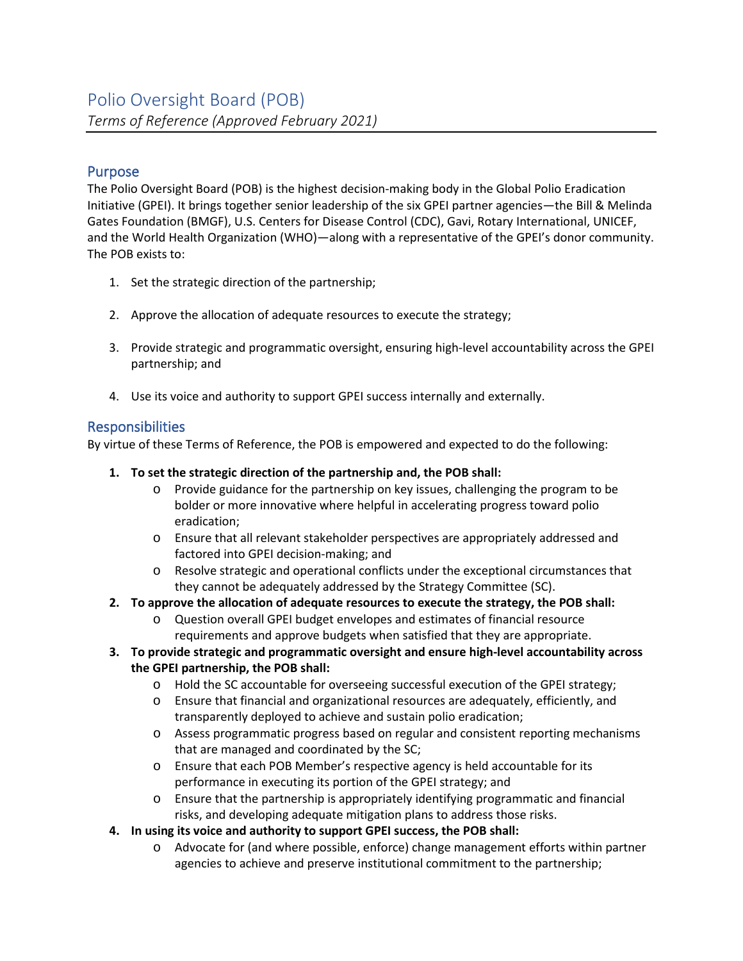# Purpose

The Polio Oversight Board (POB) is the highest decision-making body in the Global Polio Eradication Initiative (GPEI). It brings together senior leadership of the six GPEI partner agencies—the Bill & Melinda Gates Foundation (BMGF), U.S. Centers for Disease Control (CDC), Gavi, Rotary International, UNICEF, and the World Health Organization (WHO)—along with a representative of the GPEI's donor community. The POB exists to:

- 1. Set the strategic direction of the partnership;
- 2. Approve the allocation of adequate resources to execute the strategy;
- 3. Provide strategic and programmatic oversight, ensuring high-level accountability across the GPEI partnership; and
- 4. Use its voice and authority to support GPEI success internally and externally.

# **Responsibilities**

By virtue of these Terms of Reference, the POB is empowered and expected to do the following:

- **1. To set the strategic direction of the partnership and, the POB shall:**
	- o Provide guidance for the partnership on key issues, challenging the program to be bolder or more innovative where helpful in accelerating progress toward polio eradication;
	- o Ensure that all relevant stakeholder perspectives are appropriately addressed and factored into GPEI decision-making; and
	- o Resolve strategic and operational conflicts under the exceptional circumstances that they cannot be adequately addressed by the Strategy Committee (SC).
- **2. To approve the allocation of adequate resources to execute the strategy, the POB shall:**
	- o Question overall GPEI budget envelopes and estimates of financial resource requirements and approve budgets when satisfied that they are appropriate.
- **3. To provide strategic and programmatic oversight and ensure high-level accountability across the GPEI partnership, the POB shall:**
	- o Hold the SC accountable for overseeing successful execution of the GPEI strategy;
	- o Ensure that financial and organizational resources are adequately, efficiently, and transparently deployed to achieve and sustain polio eradication;
	- o Assess programmatic progress based on regular and consistent reporting mechanisms that are managed and coordinated by the SC;
	- o Ensure that each POB Member's respective agency is held accountable for its performance in executing its portion of the GPEI strategy; and
	- o Ensure that the partnership is appropriately identifying programmatic and financial risks, and developing adequate mitigation plans to address those risks.
- **4. In using its voice and authority to support GPEI success, the POB shall:**
	- o Advocate for (and where possible, enforce) change management efforts within partner agencies to achieve and preserve institutional commitment to the partnership;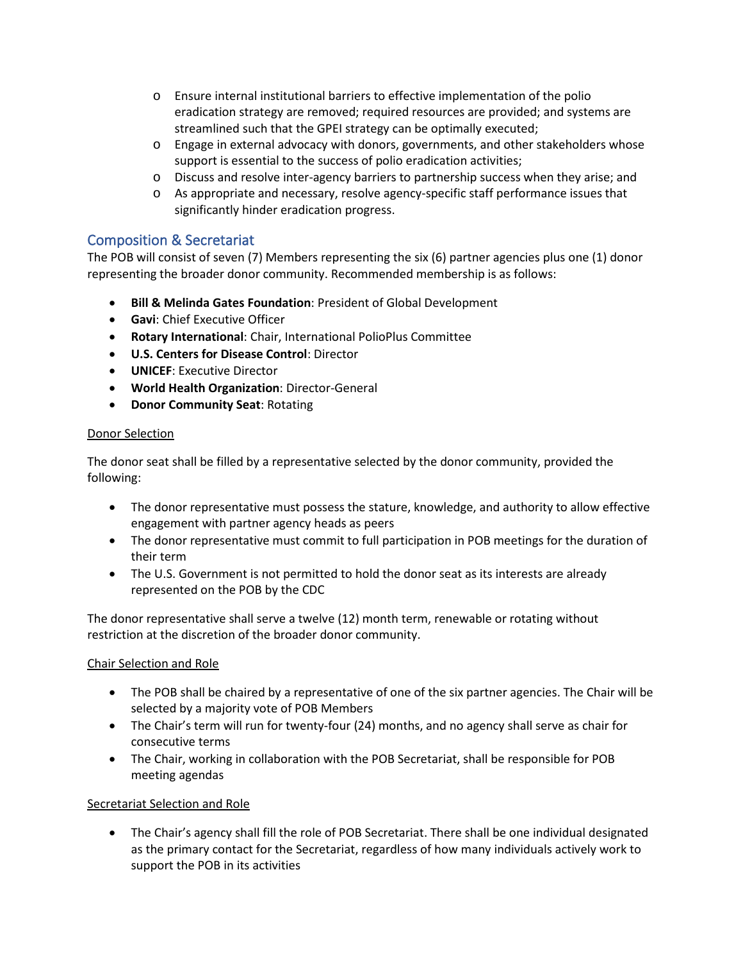- o Ensure internal institutional barriers to effective implementation of the polio eradication strategy are removed; required resources are provided; and systems are streamlined such that the GPEI strategy can be optimally executed;
- o Engage in external advocacy with donors, governments, and other stakeholders whose support is essential to the success of polio eradication activities;
- o Discuss and resolve inter-agency barriers to partnership success when they arise; and
- o As appropriate and necessary, resolve agency-specific staff performance issues that significantly hinder eradication progress.

# Composition & Secretariat

The POB will consist of seven (7) Members representing the six (6) partner agencies plus one (1) donor representing the broader donor community. Recommended membership is as follows:

- **Bill & Melinda Gates Foundation**: President of Global Development
- **Gavi**: Chief Executive Officer
- **Rotary International**: Chair, International PolioPlus Committee
- **U.S. Centers for Disease Control**: Director
- **UNICEF**: Executive Director
- **World Health Organization**: Director-General
- **Donor Community Seat**: Rotating

### Donor Selection

The donor seat shall be filled by a representative selected by the donor community, provided the following:

- The donor representative must possess the stature, knowledge, and authority to allow effective engagement with partner agency heads as peers
- The donor representative must commit to full participation in POB meetings for the duration of their term
- The U.S. Government is not permitted to hold the donor seat as its interests are already represented on the POB by the CDC

The donor representative shall serve a twelve (12) month term, renewable or rotating without restriction at the discretion of the broader donor community.

### Chair Selection and Role

- The POB shall be chaired by a representative of one of the six partner agencies. The Chair will be selected by a majority vote of POB Members
- The Chair's term will run for twenty-four (24) months, and no agency shall serve as chair for consecutive terms
- The Chair, working in collaboration with the POB Secretariat, shall be responsible for POB meeting agendas

### Secretariat Selection and Role

• The Chair's agency shall fill the role of POB Secretariat. There shall be one individual designated as the primary contact for the Secretariat, regardless of how many individuals actively work to support the POB in its activities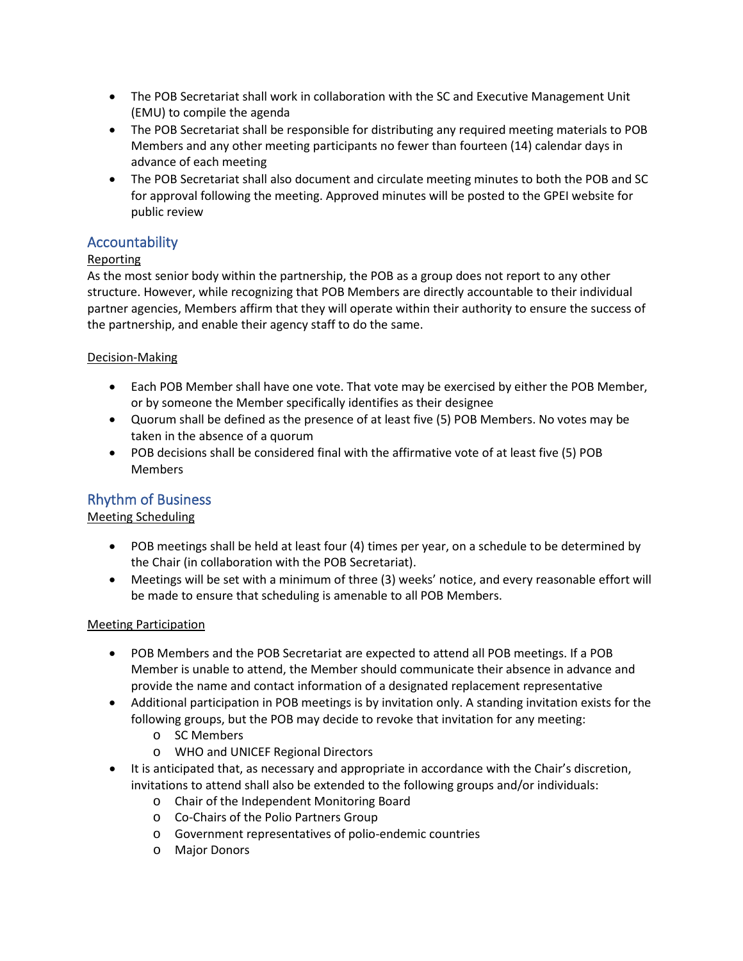- The POB Secretariat shall work in collaboration with the SC and Executive Management Unit (EMU) to compile the agenda
- The POB Secretariat shall be responsible for distributing any required meeting materials to POB Members and any other meeting participants no fewer than fourteen (14) calendar days in advance of each meeting
- The POB Secretariat shall also document and circulate meeting minutes to both the POB and SC for approval following the meeting. Approved minutes will be posted to the GPEI website for public review

### Accountability

### Reporting

As the most senior body within the partnership, the POB as a group does not report to any other structure. However, while recognizing that POB Members are directly accountable to their individual partner agencies, Members affirm that they will operate within their authority to ensure the success of the partnership, and enable their agency staff to do the same.

### Decision-Making

- Each POB Member shall have one vote. That vote may be exercised by either the POB Member, or by someone the Member specifically identifies as their designee
- Quorum shall be defined as the presence of at least five (5) POB Members. No votes may be taken in the absence of a quorum
- POB decisions shall be considered final with the affirmative vote of at least five (5) POB Members

# Rhythm of Business

### Meeting Scheduling

- POB meetings shall be held at least four (4) times per year, on a schedule to be determined by the Chair (in collaboration with the POB Secretariat).
- Meetings will be set with a minimum of three (3) weeks' notice, and every reasonable effort will be made to ensure that scheduling is amenable to all POB Members.

#### Meeting Participation

- POB Members and the POB Secretariat are expected to attend all POB meetings. If a POB Member is unable to attend, the Member should communicate their absence in advance and provide the name and contact information of a designated replacement representative
- Additional participation in POB meetings is by invitation only. A standing invitation exists for the following groups, but the POB may decide to revoke that invitation for any meeting:
	- o SC Members
	- o WHO and UNICEF Regional Directors
- It is anticipated that, as necessary and appropriate in accordance with the Chair's discretion, invitations to attend shall also be extended to the following groups and/or individuals:
	- o Chair of the Independent Monitoring Board
	- o Co-Chairs of the Polio Partners Group
	- o Government representatives of polio-endemic countries
	- o Major Donors